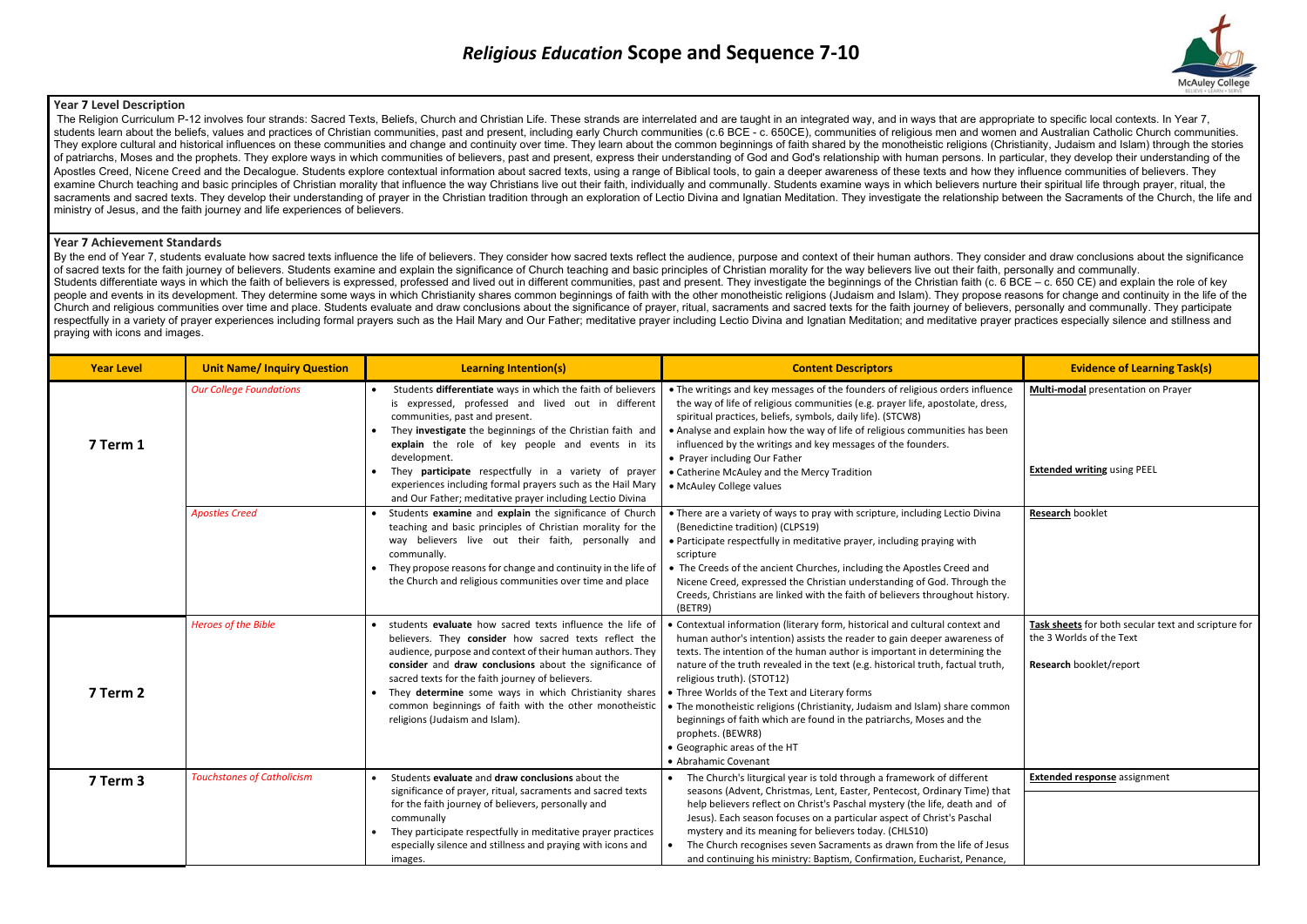## **Year 7 Level Description**

The Religion Curriculum P-12 involves four strands: Sacred Texts, Beliefs, Church and Christian Life. These strands are interrelated and are taught in an integrated way, and in ways that are appropriate to specific local c students learn about the beliefs, values and practices of Christian communities, past and present, including early Church communities (c.6 BCE - c. 650CE), communities of religious men and women and Australian Catholic Chu They explore cultural and historical influences on these communities and change and continuity over time. They learn about the common beginnings of faith shared by the monotheistic religions (Christianity, Judaism and Isla of patriarchs, Moses and the prophets. They explore ways in which communities of believers, past and present, express their understanding of God and God's relationship with human persons. In particular, they develop their Apostles Creed, Nicene Creed and the Decalogue. Students explore contextual information about sacred texts, using a range of Biblical tools, to gain a deeper awareness of these texts and how they influence communities of b examine Church teaching and basic principles of Christian morality that influence the way Christians live out their faith, individually and communally. Students examine ways in which believers nurture their spiritual life sacraments and sacred texts. They develop their understanding of prayer in the Christian tradition through an exploration of Lectio Divina and Ignatian Meditation. They investigate the relationship between the Sacraments o ministry of Jesus, and the faith journey and life experiences of believers.

By the end of Year 7, students evaluate how sacred texts influence the life of believers. They consider how sacred texts reflect the audience, purpose and context of their human authors. They consider and draw conclusions of sacred texts for the faith journey of believers. Students examine and explain the significance of Church teaching and basic principles of Christian morality for the way believers live out their faith, personally and com Students differentiate ways in which the faith of believers is expressed, professed and lived out in different communities, past and present. They investigate the beginnings of the Christian faith (c. 6 BCE - c. 650 CE) an people and events in its development. They determine some ways in which Christianity shares common beginnings of faith with the other monotheistic religions (Judaism and Islam). They propose reasons for change and continui Church and religious communities over time and place. Students evaluate and draw conclusions about the significance of prayer, ritual, sacraments and sacred texts for the faith journey of believers, personally and communal respectfully in a variety of prayer experiences including formal prayers such as the Hail Mary and Our Father; meditative prayer including Lectio Divina and Ignatian Meditation; and meditative prayer practices especially s praying with icons and images.

## **Year 7 Achievement Standards**

| <b>Year Level</b> | <b>Unit Name/ Inquiry Question</b> | <b>Learning Intention(s)</b>                                                                                                                                                                                                                                                                                                                                                                                                                                             | <b>Content Descriptors</b>                                                                                                                                                                                                                                                                                                                                                                                                                                                                                                                                                                                                                 | <b>Evidence of Learning Task(s)</b>                                                                        |
|-------------------|------------------------------------|--------------------------------------------------------------------------------------------------------------------------------------------------------------------------------------------------------------------------------------------------------------------------------------------------------------------------------------------------------------------------------------------------------------------------------------------------------------------------|--------------------------------------------------------------------------------------------------------------------------------------------------------------------------------------------------------------------------------------------------------------------------------------------------------------------------------------------------------------------------------------------------------------------------------------------------------------------------------------------------------------------------------------------------------------------------------------------------------------------------------------------|------------------------------------------------------------------------------------------------------------|
| 7 Term 1          | <b>Our College Foundations</b>     | Students differentiate ways in which the faith of believers<br>is expressed, professed and lived out in different<br>communities, past and present.<br>They investigate the beginnings of the Christian faith and<br>explain the role of key people and events in its<br>development.<br>They participate respectfully in a variety of prayer<br>experiences including formal prayers such as the Hail Mary<br>and Our Father; meditative prayer including Lectio Divina | • The writings and key messages of the founders of religious orders influence<br>the way of life of religious communities (e.g. prayer life, apostolate, dress,<br>spiritual practices, beliefs, symbols, daily life). (STCW8)<br>• Analyse and explain how the way of life of religious communities has been<br>influenced by the writings and key messages of the founders.<br>• Prayer including Our Father<br>• Catherine McAuley and the Mercy Tradition<br>• McAuley College values                                                                                                                                                  | Multi-modal presentation on Prayer<br><b>Extended writing using PEEL</b>                                   |
|                   | <b>Apostles Creed</b>              | Students examine and explain the significance of Church<br>teaching and basic principles of Christian morality for the<br>way believers live out their faith, personally and<br>communally.<br>• They propose reasons for change and continuity in the life of<br>the Church and religious communities over time and place                                                                                                                                               | • There are a variety of ways to pray with scripture, including Lectio Divina<br>(Benedictine tradition) (CLPS19)<br>• Participate respectfully in meditative prayer, including praying with<br>scripture<br>• The Creeds of the ancient Churches, including the Apostles Creed and<br>Nicene Creed, expressed the Christian understanding of God. Through the<br>Creeds, Christians are linked with the faith of believers throughout history.<br>(BETR9)                                                                                                                                                                                 | Research booklet                                                                                           |
| 7 Term 2          | <b>Heroes of the Bible</b>         | • students evaluate how sacred texts influence the life of<br>believers. They consider how sacred texts reflect the<br>audience, purpose and context of their human authors. They<br>consider and draw conclusions about the significance of<br>sacred texts for the faith journey of believers.<br>They determine some ways in which Christianity shares<br>common beginnings of faith with the other monotheistic<br>religions (Judaism and Islam).                    | • Contextual information (literary form, historical and cultural context and<br>human author's intention) assists the reader to gain deeper awareness of<br>texts. The intention of the human author is important in determining the<br>nature of the truth revealed in the text (e.g. historical truth, factual truth,<br>religious truth). (STOT12)<br>• Three Worlds of the Text and Literary forms<br>• The monotheistic religions (Christianity, Judaism and Islam) share common<br>beginnings of faith which are found in the patriarchs, Moses and the<br>prophets. (BEWR8)<br>• Geographic areas of the HT<br>• Abrahamic Covenant | Task sheets for both secular text and scripture for<br>the 3 Worlds of the Text<br>Research booklet/report |
| 7 Term 3          | <b>Touchstones of Catholicism</b>  | Students evaluate and draw conclusions about the<br>significance of prayer, ritual, sacraments and sacred texts<br>for the faith journey of believers, personally and<br>communally<br>They participate respectfully in meditative prayer practices<br>especially silence and stillness and praying with icons and<br>images.                                                                                                                                            | • The Church's liturgical year is told through a framework of different<br>seasons (Advent, Christmas, Lent, Easter, Pentecost, Ordinary Time) that<br>help believers reflect on Christ's Paschal mystery (the life, death and of<br>Jesus). Each season focuses on a particular aspect of Christ's Paschal<br>mystery and its meaning for believers today. (CHLS10)<br>The Church recognises seven Sacraments as drawn from the life of Jesus<br>and continuing his ministry: Baptism, Confirmation, Eucharist, Penance,                                                                                                                  | <b>Extended response</b> assignment                                                                        |

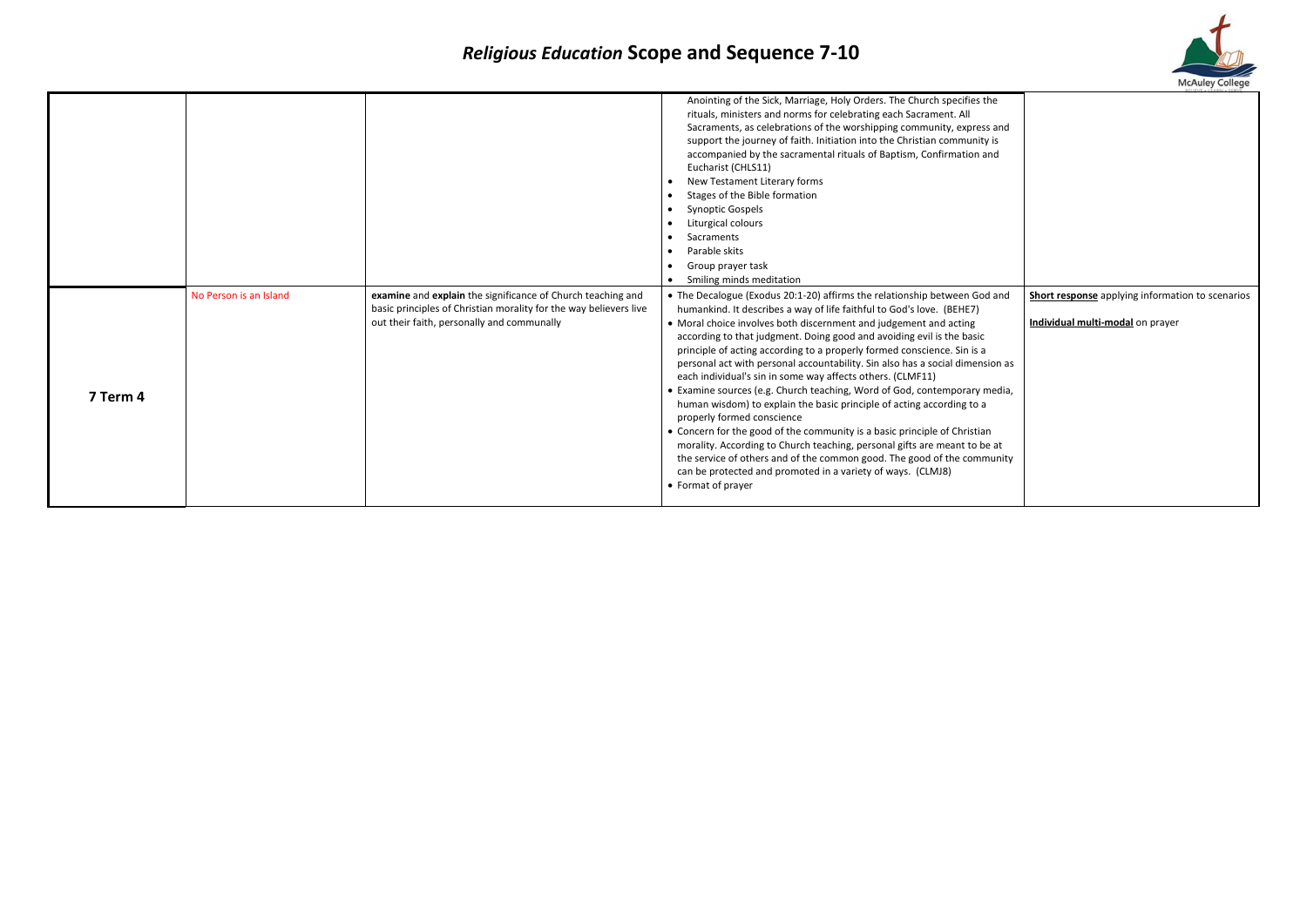|          |                        |                                                                                                                                                                                | Anointing of the Sick, Marriage, Holy Orders. The Church specifies the<br>rituals, ministers and norms for celebrating each Sacrament. All<br>Sacraments, as celebrations of the worshipping community, express and<br>support the journey of faith. Initiation into the Christian community is<br>accompanied by the sacramental rituals of Baptism, Confirmation and<br>Eucharist (CHLS11)<br>New Testament Literary forms<br>Stages of the Bible formation<br><b>Synoptic Gospels</b><br>Liturgical colours<br>Sacraments<br>Parable skits<br>Group prayer task<br>Smiling minds meditation                                                                                                                                                                                                                                                                                                                                                                                                                                           |
|----------|------------------------|--------------------------------------------------------------------------------------------------------------------------------------------------------------------------------|------------------------------------------------------------------------------------------------------------------------------------------------------------------------------------------------------------------------------------------------------------------------------------------------------------------------------------------------------------------------------------------------------------------------------------------------------------------------------------------------------------------------------------------------------------------------------------------------------------------------------------------------------------------------------------------------------------------------------------------------------------------------------------------------------------------------------------------------------------------------------------------------------------------------------------------------------------------------------------------------------------------------------------------|
| 7 Term 4 | No Person is an Island | examine and explain the significance of Church teaching and<br>basic principles of Christian morality for the way believers live<br>out their faith, personally and communally | • The Decalogue (Exodus 20:1-20) affirms the relationship between God and<br>humankind. It describes a way of life faithful to God's love. (BEHE7)<br>• Moral choice involves both discernment and judgement and acting<br>according to that judgment. Doing good and avoiding evil is the basic<br>principle of acting according to a properly formed conscience. Sin is a<br>personal act with personal accountability. Sin also has a social dimension as<br>each individual's sin in some way affects others. (CLMF11)<br>• Examine sources (e.g. Church teaching, Word of God, contemporary media,<br>human wisdom) to explain the basic principle of acting according to a<br>properly formed conscience<br>• Concern for the good of the community is a basic principle of Christian<br>morality. According to Church teaching, personal gifts are meant to be at<br>the service of others and of the common good. The good of the community<br>can be protected and promoted in a variety of ways. (CLMJ8)<br>• Format of prayer |



| ٦e                  |                                                  |
|---------------------|--------------------------------------------------|
| and<br>' is<br>nd   |                                                  |
| l and               | Short response applying information to scenarios |
|                     | Individual multi-modal on prayer                 |
| ion as              |                                                  |
| edia,               |                                                  |
| ١<br>e at<br>iunity |                                                  |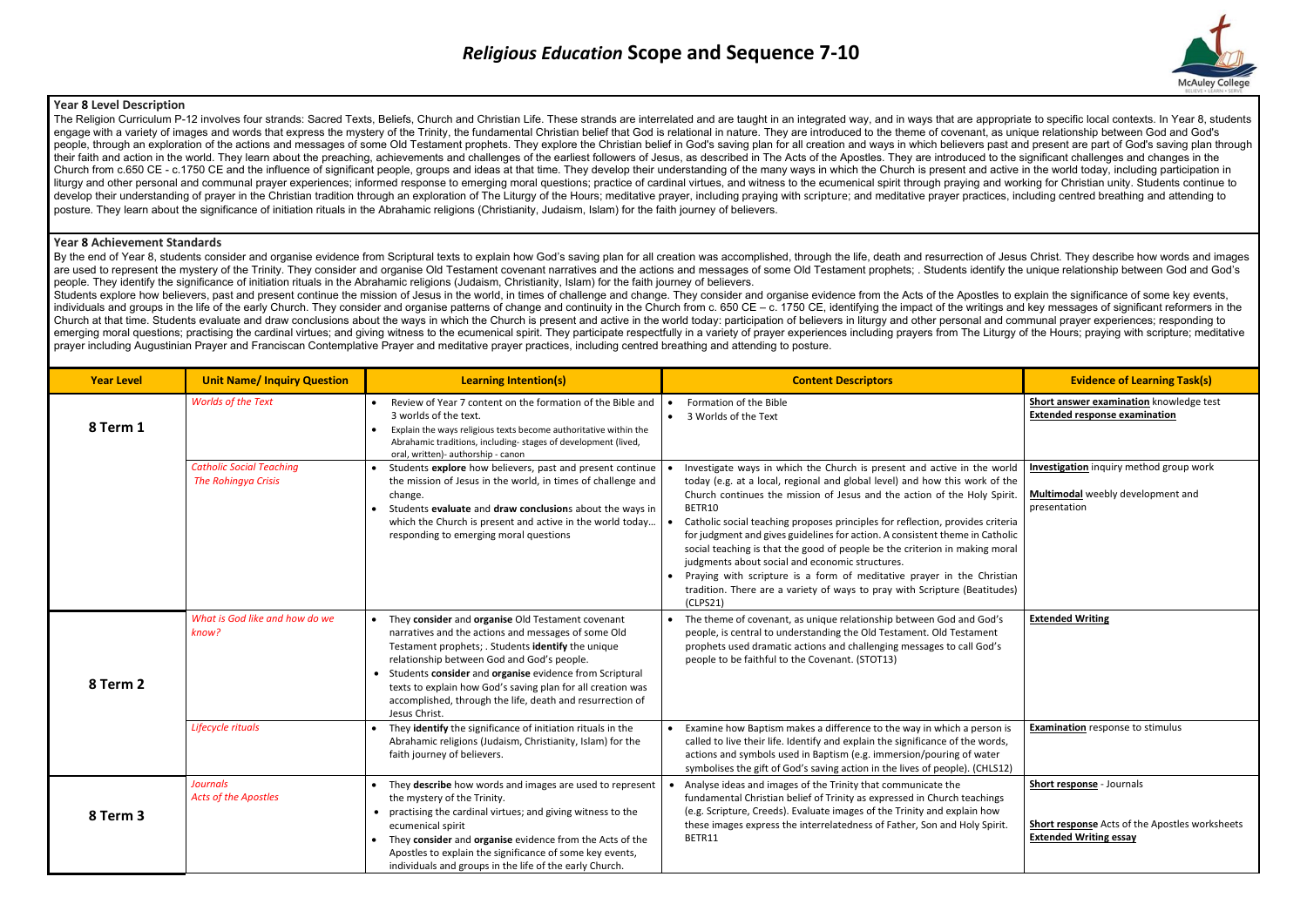### **Year 8 Level Description**

The Religion Curriculum P-12 involves four strands: Sacred Texts, Beliefs, Church and Christian Life. These strands are interrelated and are taught in an integrated way, and in ways that are appropriate to specific local c engage with a variety of images and words that express the mystery of the Trinity, the fundamental Christian belief that God is relational in nature. They are introduced to the theme of covenant, as unique relationship bet people, through an exploration of the actions and messages of some Old Testament prophets. They explore the Christian belief in God's saying plan for all creation and ways in which believers past and present are part of Go their faith and action in the world. They learn about the preaching, achievements and challenges of the earliest followers of Jesus, as described in The Acts of the Apostles. They are introduced to the significant challeng Church from c.650 CE - c.1750 CE and the influence of significant people, groups and ideas at that time. They develop their understanding of the many ways in which the Church is present and active in the world today, inclu liturgy and other personal and communal prayer experiences; informed response to emerging moral questions; practice of cardinal virtues, and witness to the ecumenical spirit through praying and working for Christian unity. develop their understanding of prayer in the Christian tradition through an exploration of The Liturgy of the Hours; meditative prayer, including praying with scripture; and meditative prayer practices, including centred b posture. They learn about the significance of initiation rituals in the Abrahamic religions (Christianity, Judaism, Islam) for the faith journey of believers.

By the end of Year 8, students consider and organise evidence from Scriptural texts to explain how God's saving plan for all creation was accomplished, through the life, death and resurrection of Jesus Christ. They describ are used to represent the mystery of the Trinity. They consider and organise Old Testament covenant narratives and the actions and messages of some Old Testament prophets; Students identify the unique relationship between people. They identify the significance of initiation rituals in the Abrahamic religions (Judaism, Christianity, Islam) for the faith journey of believers.

Students explore how believers, past and present continue the mission of Jesus in the world, in times of challenge and change. They consider and organise evidence from the Acts of the Apostles to explain the significance o individuals and groups in the life of the early Church. They consider and organise patterns of change and continuity in the Church from c. 650 CE – c. 1750 CE, identifying the impact of the writings and key messages of sig Church at that time. Students evaluate and draw conclusions about the ways in which the Church is present and active in the world today: participation of believers in liturgy and other personal and communal prayer experien emerging moral questions; practising the cardinal virtues; and giving witness to the ecumenical spirit. They participate respectfully in a variety of prayer experiences including prayers from The Liturgy of the Hours; pray prayer including Augustinian Prayer and Franciscan Contemplative Prayer and meditative prayer practices, including centred breathing and attending to posture.

#### **Year 8 Achievement Standards**

| <b>Year Level</b> | <b>Unit Name/ Inquiry Question</b>                            | <b>Learning Intention(s)</b>                                                                                                                                                                                                                                                                                                                                                                                           | <b>Content Descriptors</b>                                                                                                                                                                                                                                                                                                                                                                                                                                                                                                                                                                                                                                                                                           | <b>Evidence of Learning Task(s)</b>                                                                          |
|-------------------|---------------------------------------------------------------|------------------------------------------------------------------------------------------------------------------------------------------------------------------------------------------------------------------------------------------------------------------------------------------------------------------------------------------------------------------------------------------------------------------------|----------------------------------------------------------------------------------------------------------------------------------------------------------------------------------------------------------------------------------------------------------------------------------------------------------------------------------------------------------------------------------------------------------------------------------------------------------------------------------------------------------------------------------------------------------------------------------------------------------------------------------------------------------------------------------------------------------------------|--------------------------------------------------------------------------------------------------------------|
| 8 Term 1          | <b>Worlds of the Text</b>                                     | Review of Year 7 content on the formation of the Bible and<br>3 worlds of the text.<br>Explain the ways religious texts become authoritative within the<br>Abrahamic traditions, including-stages of development (lived,<br>oral, written)- authorship - canon                                                                                                                                                         | Formation of the Bible<br>3 Worlds of the Text                                                                                                                                                                                                                                                                                                                                                                                                                                                                                                                                                                                                                                                                       | Short answer examination knowledge test<br><b>Extended response examination</b>                              |
|                   | <b>Catholic Social Teaching</b><br><b>The Rohingya Crisis</b> | • Students explore how believers, past and present continue<br>the mission of Jesus in the world, in times of challenge and<br>change.<br>Students evaluate and draw conclusions about the ways in<br>which the Church is present and active in the world today<br>responding to emerging moral questions                                                                                                              | Investigate ways in which the Church is present and active in the world<br>today (e.g. at a local, regional and global level) and how this work of the<br>Church continues the mission of Jesus and the action of the Holy Spirit.<br>BETR10<br>Catholic social teaching proposes principles for reflection, provides criteria<br>for judgment and gives guidelines for action. A consistent theme in Catholic<br>social teaching is that the good of people be the criterion in making moral<br>judgments about social and economic structures.<br>Praying with scripture is a form of meditative prayer in the Christian<br>tradition. There are a variety of ways to pray with Scripture (Beatitudes)<br>(CLPS21) | Investigation inquiry method group work<br>Multimodal weebly development and<br>presentation                 |
| 8 Term 2          | What is God like and how do we<br>know?                       | They consider and organise Old Testament covenant<br>narratives and the actions and messages of some Old<br>Testament prophets; . Students identify the unique<br>relationship between God and God's people.<br>• Students consider and organise evidence from Scriptural<br>texts to explain how God's saving plan for all creation was<br>accomplished, through the life, death and resurrection of<br>Jesus Christ. | • The theme of covenant, as unique relationship between God and God's<br>people, is central to understanding the Old Testament. Old Testament<br>prophets used dramatic actions and challenging messages to call God's<br>people to be faithful to the Covenant. (STOT13)                                                                                                                                                                                                                                                                                                                                                                                                                                            | <b>Extended Writing</b>                                                                                      |
|                   | Lifecycle rituals                                             | They identify the significance of initiation rituals in the<br>Abrahamic religions (Judaism, Christianity, Islam) for the<br>faith journey of believers.                                                                                                                                                                                                                                                               | Examine how Baptism makes a difference to the way in which a person is<br>called to live their life. Identify and explain the significance of the words,<br>actions and symbols used in Baptism (e.g. immersion/pouring of water<br>symbolises the gift of God's saving action in the lives of people). (CHLS12)                                                                                                                                                                                                                                                                                                                                                                                                     | <b>Examination</b> response to stimulus                                                                      |
| 8 Term 3          | Journals<br><b>Acts of the Apostles</b>                       | They describe how words and images are used to represent<br>the mystery of the Trinity.<br>• practising the cardinal virtues; and giving witness to the<br>ecumenical spirit<br>They consider and organise evidence from the Acts of the<br>Apostles to explain the significance of some key events,<br>individuals and groups in the life of the early Church.                                                        | Analyse ideas and images of the Trinity that communicate the<br>fundamental Christian belief of Trinity as expressed in Church teachings<br>(e.g. Scripture, Creeds). Evaluate images of the Trinity and explain how<br>these images express the interrelatedness of Father, Son and Holy Spirit.<br>BETR11                                                                                                                                                                                                                                                                                                                                                                                                          | Short response - Journals<br>Short response Acts of the Apostles worksheets<br><b>Extended Writing essay</b> |

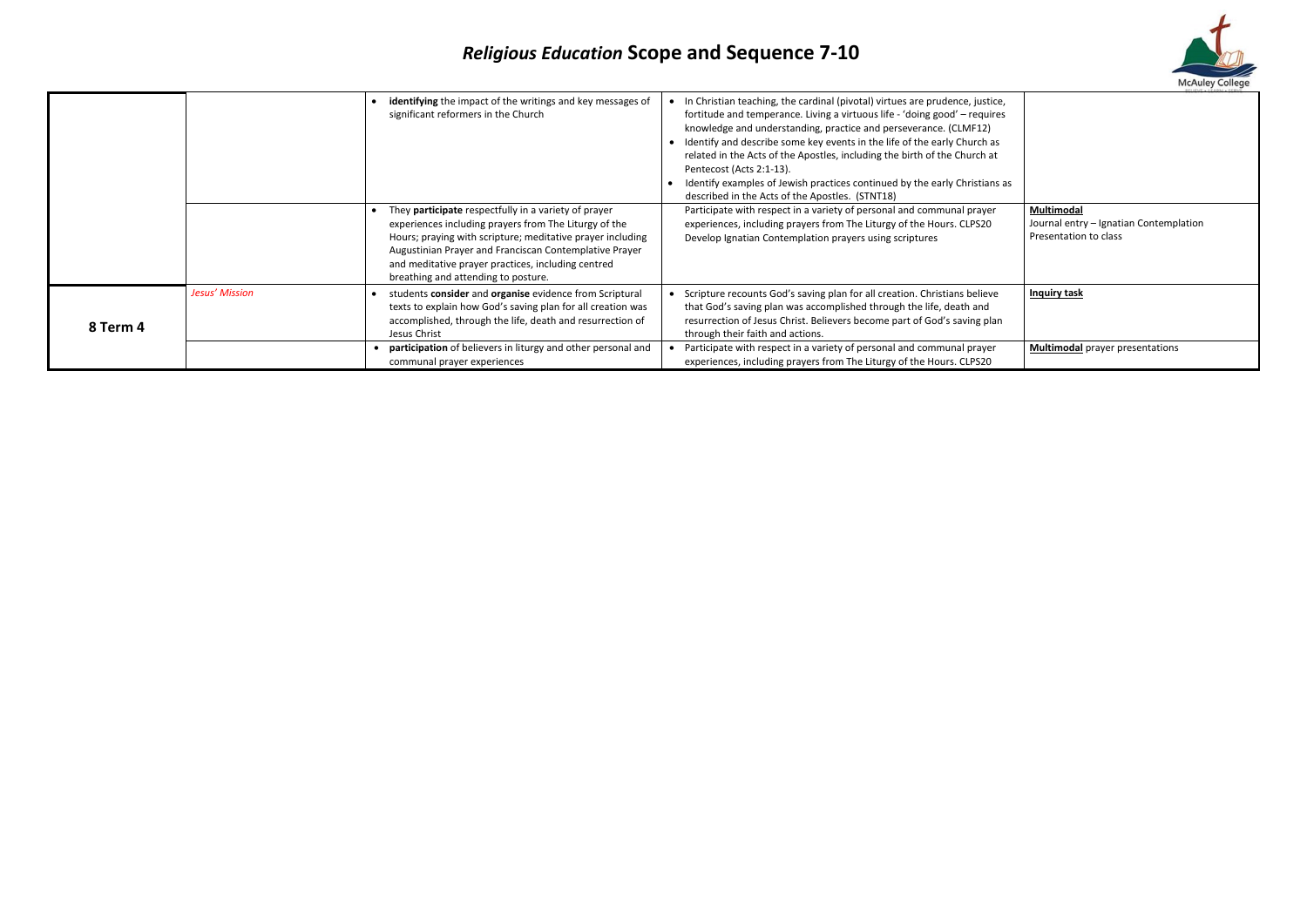|          |                |                                                                                                                                                                                                                                                                                                                                    |                                                                                                                                                                                                                                                                                                                                                                                                                                                                                                                                                      | RELIEVE . I FARN . SERV                                                       |
|----------|----------------|------------------------------------------------------------------------------------------------------------------------------------------------------------------------------------------------------------------------------------------------------------------------------------------------------------------------------------|------------------------------------------------------------------------------------------------------------------------------------------------------------------------------------------------------------------------------------------------------------------------------------------------------------------------------------------------------------------------------------------------------------------------------------------------------------------------------------------------------------------------------------------------------|-------------------------------------------------------------------------------|
|          |                | • identifying the impact of the writings and key messages of<br>significant reformers in the Church                                                                                                                                                                                                                                | In Christian teaching, the cardinal (pivotal) virtues are prudence, justice,<br>fortitude and temperance. Living a virtuous life - 'doing good' – requires<br>knowledge and understanding, practice and perseverance. (CLMF12)<br>Identify and describe some key events in the life of the early Church as<br>related in the Acts of the Apostles, including the birth of the Church at<br>Pentecost (Acts 2:1-13).<br>Identify examples of Jewish practices continued by the early Christians as<br>described in the Acts of the Apostles. (STNT18) |                                                                               |
|          |                | They participate respectfully in a variety of prayer<br>experiences including prayers from The Liturgy of the<br>Hours; praying with scripture; meditative prayer including<br>Augustinian Prayer and Franciscan Contemplative Prayer<br>and meditative prayer practices, including centred<br>breathing and attending to posture. | Participate with respect in a variety of personal and communal prayer<br>experiences, including prayers from The Liturgy of the Hours. CLPS20<br>Develop Ignatian Contemplation prayers using scriptures                                                                                                                                                                                                                                                                                                                                             | Multimodal<br>Journal entry - Ignatian Contemplation<br>Presentation to class |
| 8 Term 4 | Jesus' Mission | students consider and organise evidence from Scriptural<br>texts to explain how God's saving plan for all creation was<br>accomplished, through the life, death and resurrection of<br>Jesus Christ                                                                                                                                | Scripture recounts God's saving plan for all creation. Christians believe<br>that God's saving plan was accomplished through the life, death and<br>resurrection of Jesus Christ. Believers become part of God's saving plan<br>through their faith and actions.                                                                                                                                                                                                                                                                                     | <b>Inquiry task</b>                                                           |
|          |                | • participation of believers in liturgy and other personal and<br>communal prayer experiences                                                                                                                                                                                                                                      | Participate with respect in a variety of personal and communal prayer<br>experiences, including prayers from The Liturgy of the Hours. CLPS20                                                                                                                                                                                                                                                                                                                                                                                                        | <b>Multimodal</b> prayer presentations                                        |

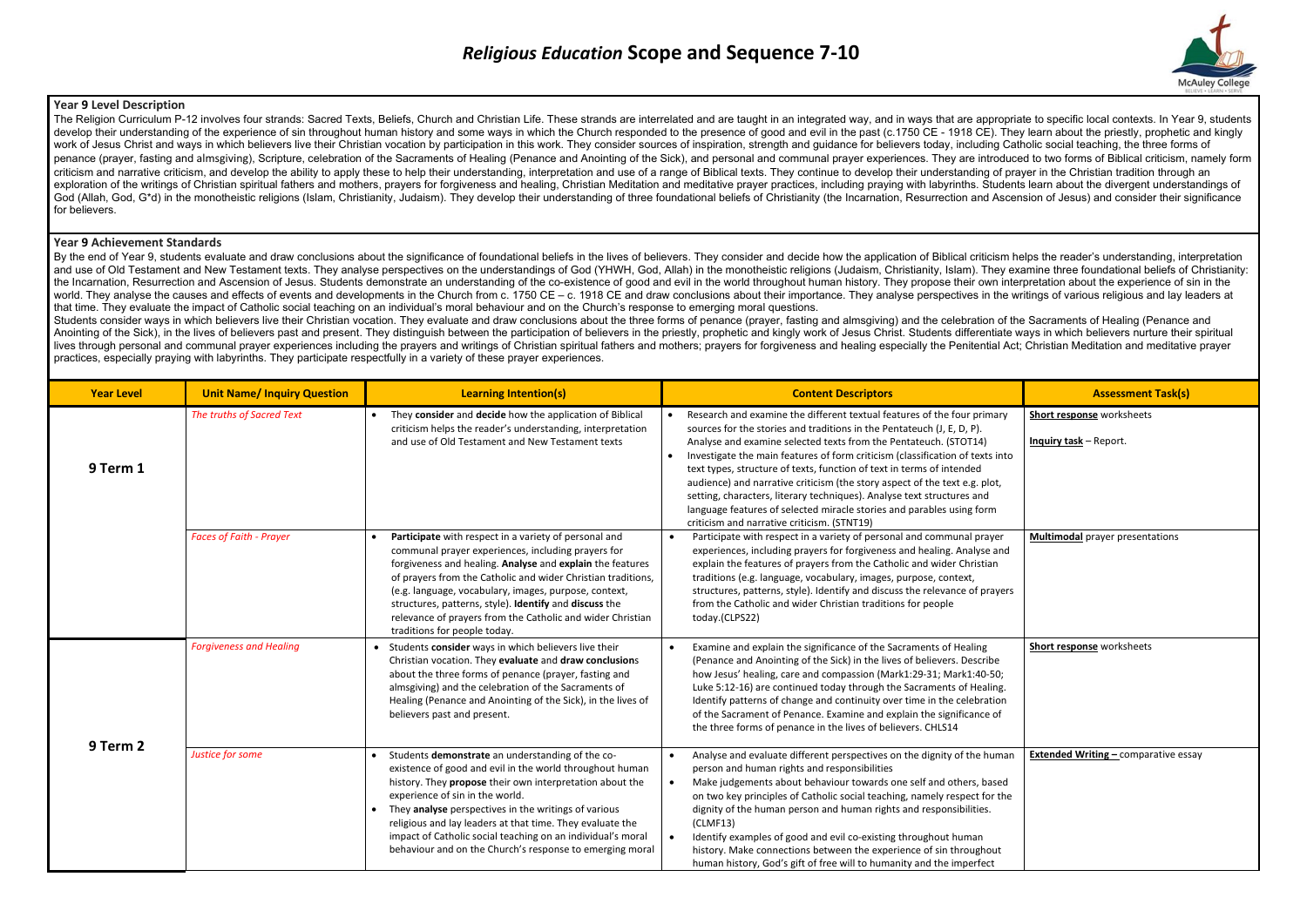## **Year 9 Level Description**

The Religion Curriculum P-12 involves four strands: Sacred Texts, Beliefs, Church and Christian Life. These strands are interrelated and are taught in an integrated way, and in ways that are appropriate to specific local c develop their understanding of the experience of sin throughout human history and some ways in which the Church responded to the presence of good and evil in the past (c.1750 CE - 1918 CE). They learn about the priestly, p work of Jesus Christ and ways in which believers live their Christian vocation by participation in this work. They consider sources of inspiration, strength and guidance for believers today, including Catholic social teach penance (prayer, fasting and almsgiving), Scripture, celebration of the Sacraments of Healing (Penance and Anointing of the Sick), and personal and communal prayer experiences. They are introduced to two forms of Biblical criticism and narrative criticism, and develop the ability to apply these to help their understanding, interpretation and use of a range of Biblical texts. They continue to develop their understanding of prayer in the Chri exploration of the writings of Christian spiritual fathers and mothers, prayers for forgiveness and healing. Christian Meditation and meditative prayer practices, including praying with labyrinths. Students learn about the God (Allah, God, G\*d) in the monotheistic religions (Islam, Christianity, Judaism). They develop their understanding of three foundational beliefs of Christianity (the Incarnation, Resurrection and Ascension of Jesus) and for believers.

By the end of Year 9, students evaluate and draw conclusions about the significance of foundational beliefs in the lives of believers. They consider and decide how the application of Biblical criticism helps the reader's u and use of Old Testament and New Testament texts. They analyse perspectives on the understandings of God (YHWH, God, Allah) in the monotheistic religions (Judaism, Christianity, Islam). They examine three foundational beli the Incarnation, Resurrection and Ascension of Jesus. Students demonstrate an understanding of the co-existence of good and evil in the world throughout human history. They propose their own interpretation about the experi world. They analyse the causes and effects of events and developments in the Church from c. 1750 CE – c. 1918 CE and draw conclusions about their importance. They analyse perspectives in the writings of various religious a that time. They evaluate the impact of Catholic social teaching on an individual's moral behaviour and on the Church's response to emerging moral questions.

#### **Year 9 Achievement Standards**

Students consider ways in which believers live their Christian vocation. They evaluate and draw conclusions about the three forms of penance (prayer, fasting and almsgiving) and the celebration of the Sacraments of Healing Anointing of the Sick), in the lives of believers past and present. They distinguish between the participation of believers in the priestly, prophetic and kingly work of Jesus Christ. Students differentiate ways in which b lives through personal and communal prayer experiences including the prayers and writings of Christian spiritual fathers and mothers: prayers for forgiveness and healing especially the Penitential Act: Christian Meditation practices, especially praying with labyrinths. They participate respectfully in a variety of these prayer experiences.

| <b>Year Level</b> | <b>Unit Name/ Inquiry Question</b> | <b>Learning Intention(s)</b>                                                                                                                                                                                                                                                                                                                                                                                                                                  | <b>Content Descriptors</b>                                                                                                                                                                                                                                                                                                                                                                                                                                                                                                                                                                                                                                      | <b>Assessment Task(s)</b>                           |
|-------------------|------------------------------------|---------------------------------------------------------------------------------------------------------------------------------------------------------------------------------------------------------------------------------------------------------------------------------------------------------------------------------------------------------------------------------------------------------------------------------------------------------------|-----------------------------------------------------------------------------------------------------------------------------------------------------------------------------------------------------------------------------------------------------------------------------------------------------------------------------------------------------------------------------------------------------------------------------------------------------------------------------------------------------------------------------------------------------------------------------------------------------------------------------------------------------------------|-----------------------------------------------------|
| 9 Term 1          | The truths of Sacred Text          | They consider and decide how the application of Biblical<br>criticism helps the reader's understanding, interpretation<br>and use of Old Testament and New Testament texts                                                                                                                                                                                                                                                                                    | Research and examine the different textual features of the four primary<br>sources for the stories and traditions in the Pentateuch (J, E, D, P).<br>Analyse and examine selected texts from the Pentateuch. (STOT14)<br>Investigate the main features of form criticism (classification of texts into<br>text types, structure of texts, function of text in terms of intended<br>audience) and narrative criticism (the story aspect of the text e.g. plot,<br>setting, characters, literary techniques). Analyse text structures and<br>language features of selected miracle stories and parables using form<br>criticism and narrative criticism. (STNT19) | Short response worksheets<br>Inquiry task - Report. |
|                   | <b>Faces of Faith - Prayer</b>     | Participate with respect in a variety of personal and<br>communal prayer experiences, including prayers for<br>forgiveness and healing. Analyse and explain the features<br>of prayers from the Catholic and wider Christian traditions,<br>(e.g. language, vocabulary, images, purpose, context,<br>structures, patterns, style). Identify and discuss the<br>relevance of prayers from the Catholic and wider Christian<br>traditions for people today.     | Participate with respect in a variety of personal and communal prayer<br>$\bullet$<br>experiences, including prayers for forgiveness and healing. Analyse and<br>explain the features of prayers from the Catholic and wider Christian<br>traditions (e.g. language, vocabulary, images, purpose, context,<br>structures, patterns, style). Identify and discuss the relevance of prayers<br>from the Catholic and wider Christian traditions for people<br>today.(CLPS22)                                                                                                                                                                                      | <b>Multimodal prayer presentations</b>              |
| 9 Term 2          | <b>Forgiveness and Healing</b>     | • Students consider ways in which believers live their<br>Christian vocation. They evaluate and draw conclusions<br>about the three forms of penance (prayer, fasting and<br>almsgiving) and the celebration of the Sacraments of<br>Healing (Penance and Anointing of the Sick), in the lives of<br>believers past and present.                                                                                                                              | Examine and explain the significance of the Sacraments of Healing<br>$\bullet$<br>(Penance and Anointing of the Sick) in the lives of believers. Describe<br>how Jesus' healing, care and compassion (Mark1:29-31; Mark1:40-50;<br>Luke 5:12-16) are continued today through the Sacraments of Healing.<br>Identify patterns of change and continuity over time in the celebration<br>of the Sacrament of Penance. Examine and explain the significance of<br>the three forms of penance in the lives of believers. CHLS14                                                                                                                                      | Short response worksheets                           |
|                   | Justice for some                   | Students demonstrate an understanding of the co-<br>existence of good and evil in the world throughout human<br>history. They propose their own interpretation about the<br>experience of sin in the world.<br>• They analyse perspectives in the writings of various<br>religious and lay leaders at that time. They evaluate the<br>impact of Catholic social teaching on an individual's moral<br>behaviour and on the Church's response to emerging moral | Analyse and evaluate different perspectives on the dignity of the human<br>person and human rights and responsibilities<br>Make judgements about behaviour towards one self and others, based<br>$\bullet$<br>on two key principles of Catholic social teaching, namely respect for the<br>dignity of the human person and human rights and responsibilities.<br>(CLMF13)<br>Identify examples of good and evil co-existing throughout human<br>history. Make connections between the experience of sin throughout<br>human history, God's gift of free will to humanity and the imperfect                                                                      | <b>Extended Writing - comparative essay</b>         |

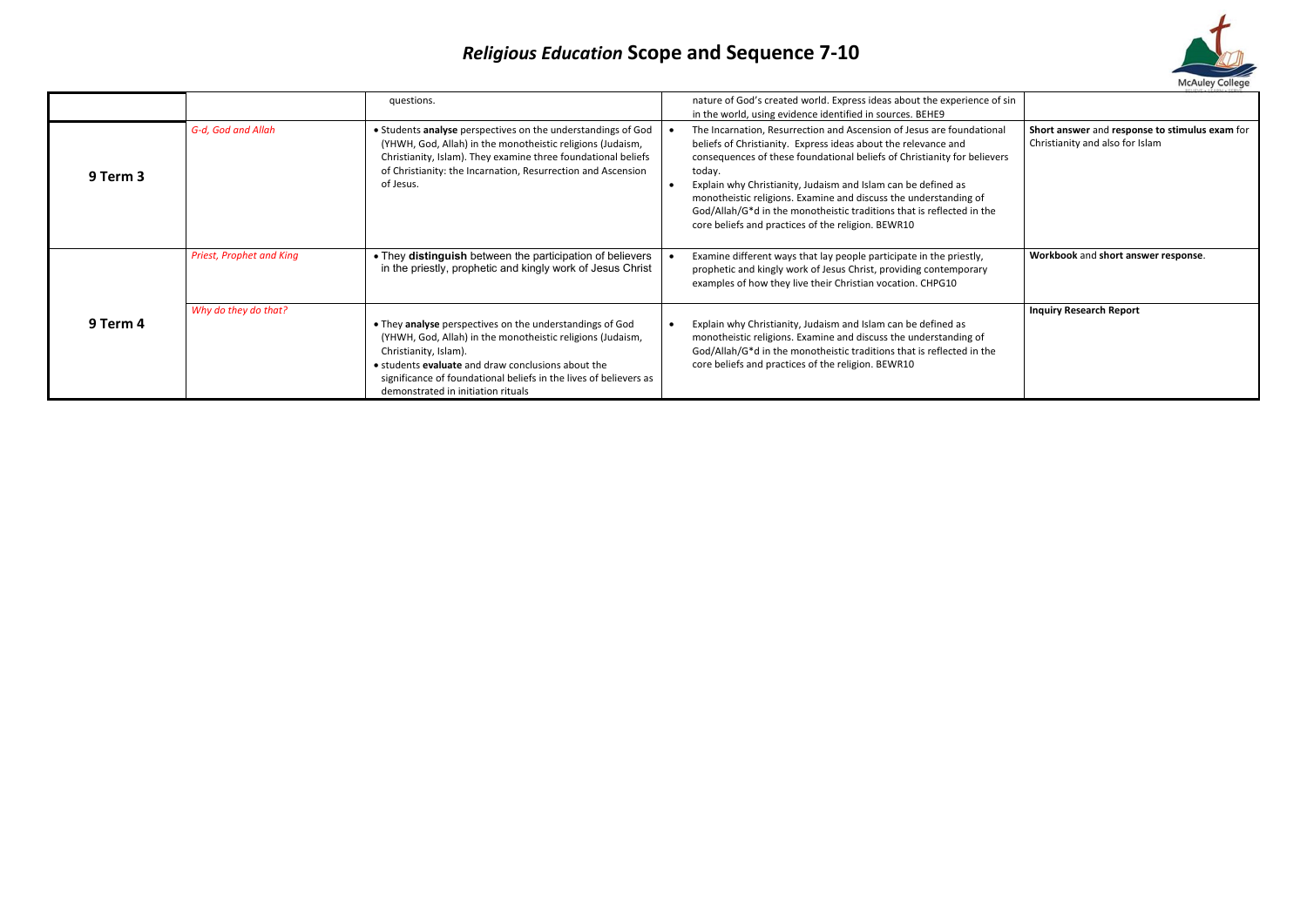|          |                                 | questions.                                                                                                                                                                                                                                                                                                              | nature of God's created world. Express ideas about the experience of sin<br>in the world, using evidence identified in sources. BEHE9                                                                                                                                                                                                                                                                                                                                                             |                                                                                   |
|----------|---------------------------------|-------------------------------------------------------------------------------------------------------------------------------------------------------------------------------------------------------------------------------------------------------------------------------------------------------------------------|---------------------------------------------------------------------------------------------------------------------------------------------------------------------------------------------------------------------------------------------------------------------------------------------------------------------------------------------------------------------------------------------------------------------------------------------------------------------------------------------------|-----------------------------------------------------------------------------------|
| 9 Term 3 | G-d, God and Allah              | • Students analyse perspectives on the understandings of God<br>(YHWH, God, Allah) in the monotheistic religions (Judaism,<br>Christianity, Islam). They examine three foundational beliefs<br>of Christianity: the Incarnation, Resurrection and Ascension<br>of Jesus.                                                | The Incarnation, Resurrection and Ascension of Jesus are foundational<br>beliefs of Christianity. Express ideas about the relevance and<br>consequences of these foundational beliefs of Christianity for believers<br>today.<br>Explain why Christianity, Judaism and Islam can be defined as<br>monotheistic religions. Examine and discuss the understanding of<br>God/Allah/G*d in the monotheistic traditions that is reflected in the<br>core beliefs and practices of the religion. BEWR10 | Short answer and response to stimulus exam for<br>Christianity and also for Islam |
| 9 Term 4 | <b>Priest, Prophet and King</b> | • They distinguish between the participation of believers<br>in the priestly, prophetic and kingly work of Jesus Christ                                                                                                                                                                                                 | Examine different ways that lay people participate in the priestly,<br>prophetic and kingly work of Jesus Christ, providing contemporary<br>examples of how they live their Christian vocation. CHPG10                                                                                                                                                                                                                                                                                            | Workbook and short answer response.                                               |
|          | Why do they do that?            | • They analyse perspectives on the understandings of God<br>(YHWH, God, Allah) in the monotheistic religions (Judaism,<br>Christianity, Islam).<br>• students <b>evaluate</b> and draw conclusions about the<br>significance of foundational beliefs in the lives of believers as<br>demonstrated in initiation rituals | Explain why Christianity, Judaism and Islam can be defined as<br>monotheistic religions. Examine and discuss the understanding of<br>God/Allah/G*d in the monotheistic traditions that is reflected in the<br>core beliefs and practices of the religion. BEWR10                                                                                                                                                                                                                                  | <b>Inquiry Research Report</b>                                                    |

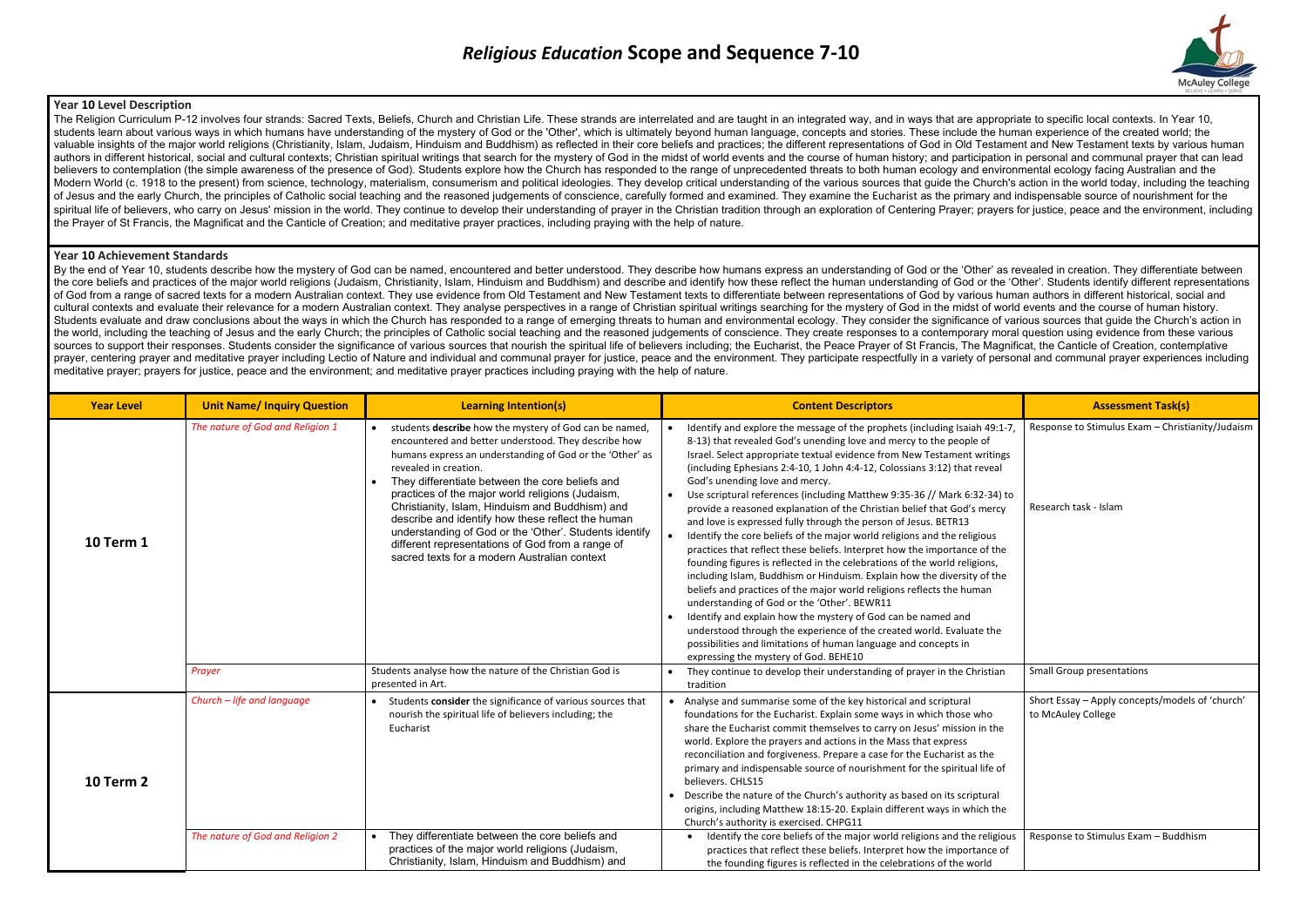### **Year 10 Level Description**

The Religion Curriculum P-12 involves four strands: Sacred Texts, Beliefs, Church and Christian Life. These strands are interrelated and are taught in an integrated way, and in ways that are appropriate to specific local c students learn about various ways in which humans have understanding of the mystery of God or the 'Other', which is ultimately beyond human language, concepts and stories. These include the human experience of the created valuable insights of the major world religions (Christianity, Islam, Judaism, Hinduism and Buddhism) as reflected in their core beliefs and practices: the different representations of God in Old Testament and New Testament authors in different historical, social and cultural contexts: Christian spiritual writings that search for the mystery of God in the midst of world events and the course of human history; and participation in personal and believers to contemplation (the simple awareness of the presence of God). Students explore how the Church has responded to the range of unprecedented threats to both human ecology and environmental ecology facing Australia Modern World (c. 1918 to the present) from science, technology, materialism, consumerism and political ideologies. They develop critical understanding of the various sources that guide the Church's action in the world toda of Jesus and the early Church, the principles of Catholic social teaching and the reasoned judgements of conscience, carefully formed and examined. They examine the Eucharist as the primary and indispensable source of nour spiritual life of believers, who carry on Jesus' mission in the world. They continue to develop their understanding of prayer in the Christian tradition through an exploration of Centering Prayer; prayers for justice, peac the Prayer of St Francis, the Magnificat and the Canticle of Creation; and meditative prayer practices, including praying with the help of nature.

By the end of Year 10, students describe how the mystery of God can be named, encountered and better understood. They describe how humans express an understanding of God or the 'Other' as revealed in creation. They differe the core beliefs and practices of the major world religions (Judaism, Christianity, Islam, Hinduism and Buddhism) and describe and identify how these reflect the human understanding of God or the 'Other'. Students identify of God from a range of sacred texts for a modern Australian context. They use evidence from Old Testament and New Testament texts to differentiate between representations of God by various human authors in different histor cultural contexts and evaluate their relevance for a modern Australian context. They analyse perspectives in a range of Christian spiritual writings searching for the mystery of God in the midst of world events and the cou Students evaluate and draw conclusions about the ways in which the Church has responded to a range of emerging threats to human and environmental ecology. They consider the significance of various sources that quide the Ch the world, including the teaching of Jesus and the early Church: the principles of Catholic social teaching and the reasoned judgements of conscience. They create responses to a contemporary moral question using evidence f sources to support their responses. Students consider the significance of various sources that nourish the spiritual life of believers including: the Eucharist, the Peace Prayer of St Francis. The Magnificat, the Canticle prayer, centering prayer and meditative prayer including Lectio of Nature and individual and communal prayer for justice, peace and the environment. They participate respectfully in a variety of personal and communal praye meditative prayer; prayers for justice, peace and the environment; and meditative prayer practices including praying with the help of nature.

#### **Year 10 Achievement Standards**

| <b>Year Level</b> | <b>Unit Name/ Inquiry Question</b> | <b>Learning Intention(s)</b>                                                                                                                                                                                                                                                                                                                                                                                                                                                                                                                                                     | <b>Content Descriptors</b>                                                                                                                                                                                                                                                                                                                                                                                                                                                                                                                                                                                                                                                                                                                                                                                                                                                                                                                                                                                                                                                                                                                                                                                                                                       | <b>Assessment Task(s)</b>                                                 |
|-------------------|------------------------------------|----------------------------------------------------------------------------------------------------------------------------------------------------------------------------------------------------------------------------------------------------------------------------------------------------------------------------------------------------------------------------------------------------------------------------------------------------------------------------------------------------------------------------------------------------------------------------------|------------------------------------------------------------------------------------------------------------------------------------------------------------------------------------------------------------------------------------------------------------------------------------------------------------------------------------------------------------------------------------------------------------------------------------------------------------------------------------------------------------------------------------------------------------------------------------------------------------------------------------------------------------------------------------------------------------------------------------------------------------------------------------------------------------------------------------------------------------------------------------------------------------------------------------------------------------------------------------------------------------------------------------------------------------------------------------------------------------------------------------------------------------------------------------------------------------------------------------------------------------------|---------------------------------------------------------------------------|
| <b>10 Term 1</b>  | The nature of God and Religion 1   | students describe how the mystery of God can be named,<br>encountered and better understood. They describe how<br>humans express an understanding of God or the 'Other' as<br>revealed in creation.<br>They differentiate between the core beliefs and<br>practices of the major world religions (Judaism,<br>Christianity, Islam, Hinduism and Buddhism) and<br>describe and identify how these reflect the human<br>understanding of God or the 'Other'. Students identify<br>different representations of God from a range of<br>sacred texts for a modern Australian context | Identify and explore the message of the prophets (including Isaiah 49:1-7,<br>8-13) that revealed God's unending love and mercy to the people of<br>Israel. Select appropriate textual evidence from New Testament writings<br>(including Ephesians 2:4-10, 1 John 4:4-12, Colossians 3:12) that reveal<br>God's unending love and mercy.<br>Use scriptural references (including Matthew 9:35-36 // Mark 6:32-34) to<br>provide a reasoned explanation of the Christian belief that God's mercy<br>and love is expressed fully through the person of Jesus. BETR13<br>Identify the core beliefs of the major world religions and the religious<br>practices that reflect these beliefs. Interpret how the importance of the<br>founding figures is reflected in the celebrations of the world religions,<br>including Islam, Buddhism or Hinduism. Explain how the diversity of the<br>beliefs and practices of the major world religions reflects the human<br>understanding of God or the 'Other'. BEWR11<br>Identify and explain how the mystery of God can be named and<br>understood through the experience of the created world. Evaluate the<br>possibilities and limitations of human language and concepts in<br>expressing the mystery of God. BEHE10 | Response to Stimulus Exam - Christianity/Judaism<br>Research task - Islam |
|                   | Prayer                             | Students analyse how the nature of the Christian God is<br>presented in Art.                                                                                                                                                                                                                                                                                                                                                                                                                                                                                                     | They continue to develop their understanding of prayer in the Christian<br>tradition                                                                                                                                                                                                                                                                                                                                                                                                                                                                                                                                                                                                                                                                                                                                                                                                                                                                                                                                                                                                                                                                                                                                                                             | <b>Small Group presentations</b>                                          |
| <b>10 Term 2</b>  | Church - life and language         | • Students consider the significance of various sources that<br>nourish the spiritual life of believers including; the<br>Eucharist                                                                                                                                                                                                                                                                                                                                                                                                                                              | • Analyse and summarise some of the key historical and scriptural<br>foundations for the Eucharist. Explain some ways in which those who<br>share the Eucharist commit themselves to carry on Jesus' mission in the<br>world. Explore the prayers and actions in the Mass that express<br>reconciliation and forgiveness. Prepare a case for the Eucharist as the<br>primary and indispensable source of nourishment for the spiritual life of<br>believers. CHLS15<br>Describe the nature of the Church's authority as based on its scriptural<br>origins, including Matthew 18:15-20. Explain different ways in which the<br>Church's authority is exercised. CHPG11                                                                                                                                                                                                                                                                                                                                                                                                                                                                                                                                                                                           | Short Essay - Apply concepts/models of 'church'<br>to McAuley College     |
|                   | The nature of God and Religion 2   | They differentiate between the core beliefs and<br>practices of the major world religions (Judaism,<br>Christianity, Islam, Hinduism and Buddhism) and                                                                                                                                                                                                                                                                                                                                                                                                                           | Identify the core beliefs of the major world religions and the religious<br>practices that reflect these beliefs. Interpret how the importance of<br>the founding figures is reflected in the celebrations of the world                                                                                                                                                                                                                                                                                                                                                                                                                                                                                                                                                                                                                                                                                                                                                                                                                                                                                                                                                                                                                                          | Response to Stimulus Exam - Buddhism                                      |